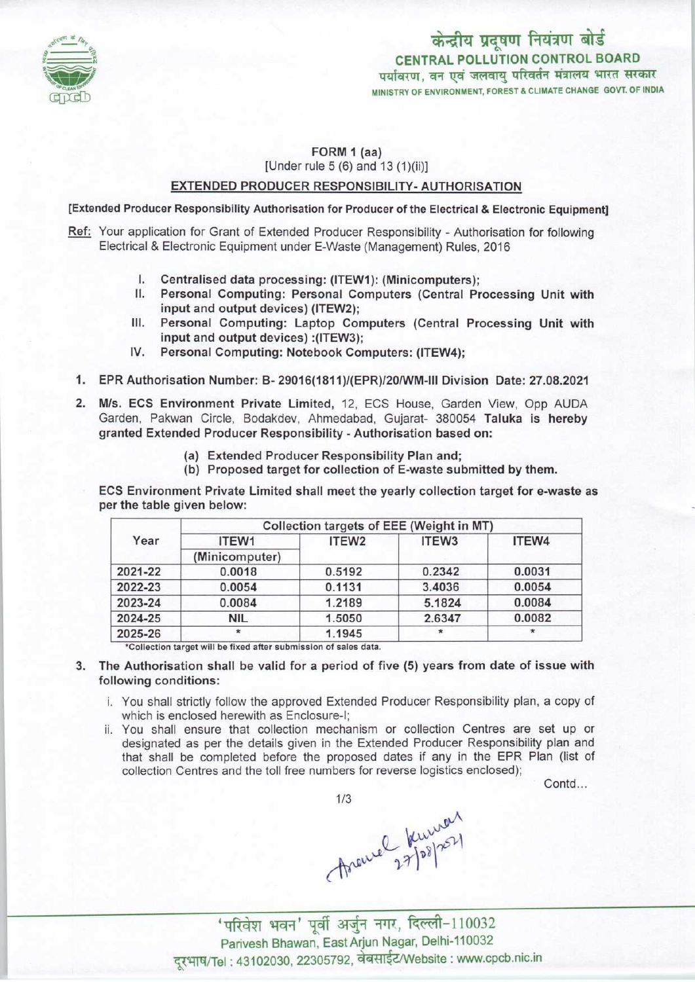

केन्द्रीय प्रदूषण नियंत्रण बोर्ड CENTRAL POLLUTION CONTROL BOARD<br>पर्यावरण, वन एवं जलवायु परिवर्तन मंत्रालय भारत सरकार MINISTRY OF ENVIRONMENT, FOREST & CLIMATE CHANGE GOVT. OF INDIA

## FORM 1 (aa) [Under rule  $5(6)$  and  $13(1)(ii)$ ]

#### EXTENDED PRODUCER RESPONSIBILITY- AUTHORISATION

[Extended Producer Responsibility Authorisation for Producer of the Electrical & Electronic Equipment]

- Ref: Your application for Grant of Extended Producer Responsibility Authorisation for following Electrical & Electronic Equipment under E-Waste (Management) Rules, 2016
	- I. Centralised data processing: (ITEW1): (Minicomputers);<br>II. Personal Computing: Personal Computers (Central Pr
	- Personal Computing: Personal Computers (Central Processing Unit with input and output devices) (ITEW2);
	- III. Personal Computing: Laptop Computers (Central Processing Unit with input and output devices) :(ITEW3);
	- IV. Personal Computing: Notebook Computers: (ITEW4);
	- 1.EPR Authorisation Number: B- 29016(1811)/(EPR)/20/WM-1ll Division Date: 27.08.2021
	- 2.M/s. ECS Environment Private Limited, 12, ECS House, Garden View, Opp AUDA Garden, Pakwan Circle, Bodakdev, Ahmedabad, Gujarat- 380054 Taluka is hereby granted Extended Producer Responsibility -Authorisation based on:
		- (a)Extended Producer Responsibility Plan and;
		- (b) Proposed target for collection of E-waste submitted by them.

ECS Environment Private Limited shall meet the yearly collection target for e-waste as per the table given below:

| Year    | Collection targets of EEE (Weight in MT) |                   |                   |        |
|---------|------------------------------------------|-------------------|-------------------|--------|
|         | ITEW1<br>(Minicomputer)                  | ITEW <sub>2</sub> | ITEW <sub>3</sub> | ITEW4  |
|         |                                          |                   |                   |        |
| 2022-23 | 0.0054                                   | 0.1131            | 3.4036            | 0.0054 |
| 2023-24 | 0.0084                                   | 1.2189            | 5.1824            | 0.0084 |
| 2024-25 | NIL                                      | 1.5050            | 2.6347            | 0.0082 |
| 2025-26 | $\star$                                  | 1.1945            | $\star$           |        |

\*Collection target will be fixed after submission of sales data.

- 3. The Authorisation shall be valid for a period of five (5) years from date of issue with following conditions:
	- i. You shall strictly follow the approved Extended Producer Responsibility plan, a copy of which is enclosed herewith as Enclosure-I;
	- ii. You shall ensure that collection mechanism or collection Centres are set up or designated as per the details given in the Extended Producer Responsibility plan and that shall be completed before the proposed dates if any in the EPR Plan (list of collection Centres and the toll free numbers for reverse logistics enclosed);

Contd...



throwned kuwan<br>198/251<br>'परिवेश भवन' पूर्वी अर्जुन नगर, दिल्ली-110032

Parivesh Bhawan, East Arjun Nagar, Delhi-110032 दूरभाष/Tel: 43102030, 22305792, वेबसाईट/Website : www.cpcb.nic.in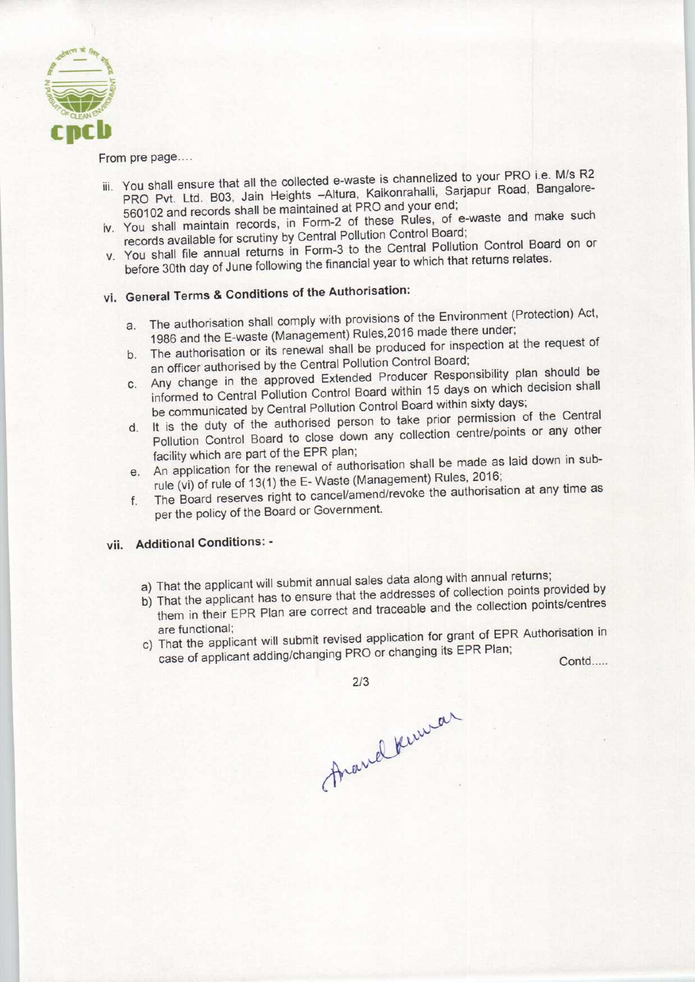

From pre page....

- iii. You shall ensure that all the collected e-waste is channelized to your PRO i.e. M/s R2<br>PRO Put. Ltd. B03, Jain Heights -Altura, Kaikonrahalli, Sarjapur Road, Bangalore-PRO Pvt. Ltd. B03, Jain Heights - Altura, Kaikonrahalli, Sarjapur Road, Bangalore-560102 and records shall be maintained at PRO and your end;
- iv. You shall maintain records, in Form-2 of these Rules, of e-waste and make such records available for scrutiny by Central Pollution Control Board;
- v. You shall file annual returns in Form-3 to the Central Pollution Control Board on or before 30th day of June following the financial year to which that returns relates.

# vi. General Terms & Conditions of the Authorisation:

- a. The authorisation shall comply with provisions of the Environment (Protection) Act, a. The authorisation shall comply with provisions of the Erricometers<br>1986 and the E-waste (Management) Rules, 2016 made there under;<br>b. The authorisation or its renewal shall be produced for inspection at the request of
- The authorisation or its renewal shall be produced for inspection at the request of an officer authorised by the Central Pollution Control Board;
- C. Any change in the approved Extended Producer Responsibility plan should be informed to Central Pollution Control Board within 15 days on which decision shall be communicated by Central Pollution Control Board within sixty days;
- d. It is the duty of the authorised person to take prior permission of the Central Pollution Control Board to close down any collection centre/points or any other facility which are part of the EPR plan;
- e. An application for the renewal of authorisation shall be made as laid down in subrule (vi) of rule of 13(1) the E-Waste (Management) Rules, 2016;
- f.The Board reserves right to cancel/amend/revoke the authorisation at any time as per the policy of the Board or Government.

## vii. Additional Conditions: -

- a) That the applicant will submit annual sales data along with annual returns;
- b) That the applicant has to ensure that the addresses of collection points provided by That the applicant has to ensure that the addresses of the collection points/centres That the applicant will submit all that sales data division of Collection point<br>them in their EPR Plan are correct and traceable and the collection pare<br>functional;<br>That the applicant will submit revised application for gr
- are functional;<br>
c) That the applicant will submit revised application for grant of EPR Authorisation in<br>
case of applicant adding/changing PRO or changing its EPR Plan;<br>
Contd....

France Kennar

2/3